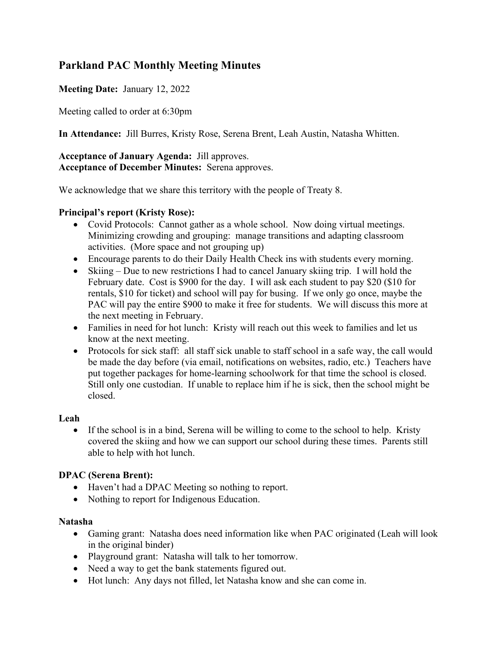# **Parkland PAC Monthly Meeting Minutes**

## **Meeting Date:** January 12, 2022

Meeting called to order at 6:30pm

**In Attendance:** Jill Burres, Kristy Rose, Serena Brent, Leah Austin, Natasha Whitten.

## **Acceptance of January Agenda:** Jill approves. **Acceptance of December Minutes:** Serena approves.

We acknowledge that we share this territory with the people of Treaty 8.

#### **Principal's report (Kristy Rose):**

- Covid Protocols: Cannot gather as a whole school. Now doing virtual meetings. Minimizing crowding and grouping: manage transitions and adapting classroom activities. (More space and not grouping up)
- Encourage parents to do their Daily Health Check ins with students every morning.
- Skiing Due to new restrictions I had to cancel January skiing trip. I will hold the February date. Cost is \$900 for the day. I will ask each student to pay \$20 (\$10 for rentals, \$10 for ticket) and school will pay for busing. If we only go once, maybe the PAC will pay the entire \$900 to make it free for students. We will discuss this more at the next meeting in February.
- Families in need for hot lunch: Kristy will reach out this week to families and let us know at the next meeting.
- Protocols for sick staff: all staff sick unable to staff school in a safe way, the call would be made the day before (via email, notifications on websites, radio, etc.) Teachers have put together packages for home-learning schoolwork for that time the school is closed. Still only one custodian. If unable to replace him if he is sick, then the school might be closed.

## **Leah**

• If the school is in a bind, Serena will be willing to come to the school to help. Kristy covered the skiing and how we can support our school during these times. Parents still able to help with hot lunch.

## **DPAC (Serena Brent):**

- Haven't had a DPAC Meeting so nothing to report.
- Nothing to report for Indigenous Education.

## **Natasha**

- Gaming grant: Natasha does need information like when PAC originated (Leah will look in the original binder)
- Playground grant: Natasha will talk to her tomorrow.
- Need a way to get the bank statements figured out.
- Hot lunch: Any days not filled, let Natasha know and she can come in.